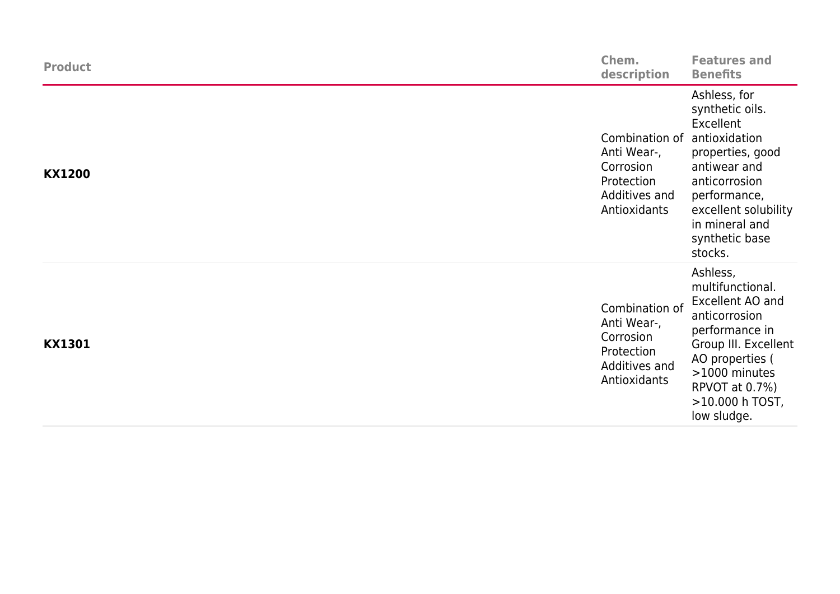| <b>Product</b> | Chem.<br>description                                                                      | <b>Features and</b><br><b>Benefits</b>                                                                                                                                                                    |
|----------------|-------------------------------------------------------------------------------------------|-----------------------------------------------------------------------------------------------------------------------------------------------------------------------------------------------------------|
| <b>KX1200</b>  | Combination of<br>Anti Wear-,<br>Corrosion<br>Protection<br>Additives and<br>Antioxidants | Ashless, for<br>synthetic oils.<br>Excellent<br>antioxidation<br>properties, good<br>antiwear and<br>anticorrosion<br>performance,<br>excellent solubility<br>in mineral and<br>synthetic base<br>stocks. |
| <b>KX1301</b>  | Combination of<br>Anti Wear-,<br>Corrosion<br>Protection<br>Additives and<br>Antioxidants | Ashless,<br>multifunctional.<br>Excellent AO and<br>anticorrosion<br>performance in<br>Group III. Excellent<br>AO properties (<br>>1000 minutes<br>RPVOT at 0.7%)<br>>10.000 h TOST,<br>low sludge.       |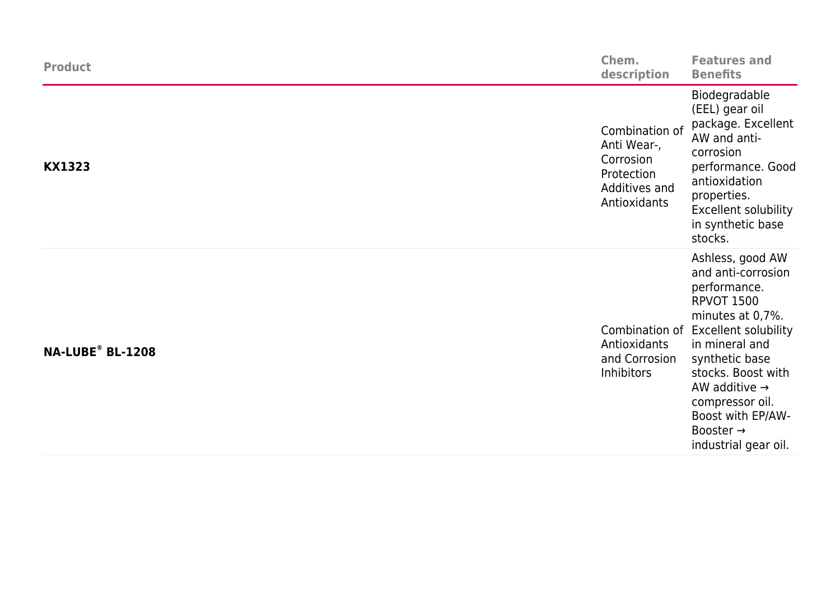| <b>Product</b>               | Chem.<br>description                                                                      | <b>Features and</b><br><b>Benefits</b>                                                                                                                                                                                                                                                                                 |
|------------------------------|-------------------------------------------------------------------------------------------|------------------------------------------------------------------------------------------------------------------------------------------------------------------------------------------------------------------------------------------------------------------------------------------------------------------------|
| <b>KX1323</b>                | Combination of<br>Anti Wear-,<br>Corrosion<br>Protection<br>Additives and<br>Antioxidants | Biodegradable<br>(EEL) gear oil<br>package. Excellent<br>AW and anti-<br>corrosion<br>performance. Good<br>antioxidation<br>properties.<br><b>Excellent solubility</b><br>in synthetic base<br>stocks.                                                                                                                 |
| NA-LUBE <sup>®</sup> BL-1208 | Antioxidants<br>and Corrosion<br><b>Inhibitors</b>                                        | Ashless, good AW<br>and anti-corrosion<br>performance.<br><b>RPVOT 1500</b><br>minutes at 0,7%.<br>Combination of Excellent solubility<br>in mineral and<br>synthetic base<br>stocks. Boost with<br>AW additive $\rightarrow$<br>compressor oil.<br>Boost with EP/AW-<br>Booster $\rightarrow$<br>industrial gear oil. |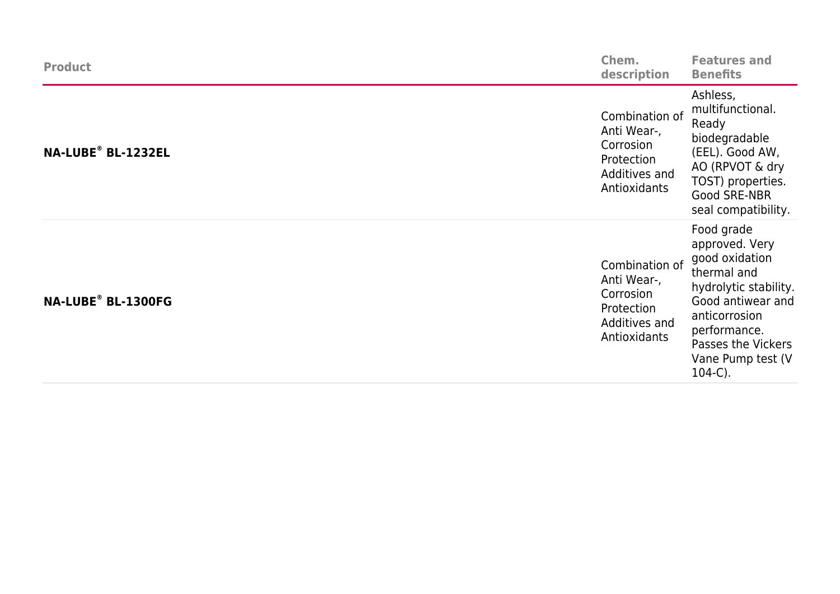| <b>Product</b>     | Chem.<br>description                                                                      | <b>Features and</b><br><b>Benefits</b>                                                                                                                                                                |
|--------------------|-------------------------------------------------------------------------------------------|-------------------------------------------------------------------------------------------------------------------------------------------------------------------------------------------------------|
| NA-LUBE® BL-1232EL | Combination of<br>Anti Wear-,<br>Corrosion<br>Protection<br>Additives and<br>Antioxidants | Ashless,<br>multifunctional.<br>Ready<br>biodegradable<br>(EEL). Good AW,<br>AO (RPVOT & dry<br>TOST) properties.<br>Good SRE-NBR<br>seal compatibility.                                              |
| NA-LUBE® BL-1300FG | Combination of<br>Anti Wear-,<br>Corrosion<br>Protection<br>Additives and<br>Antioxidants | Food grade<br>approved. Very<br>good oxidation<br>thermal and<br>hydrolytic stability.<br>Good antiwear and<br>anticorrosion<br>performance.<br>Passes the Vickers<br>Vane Pump test (V<br>$104-C$ ). |